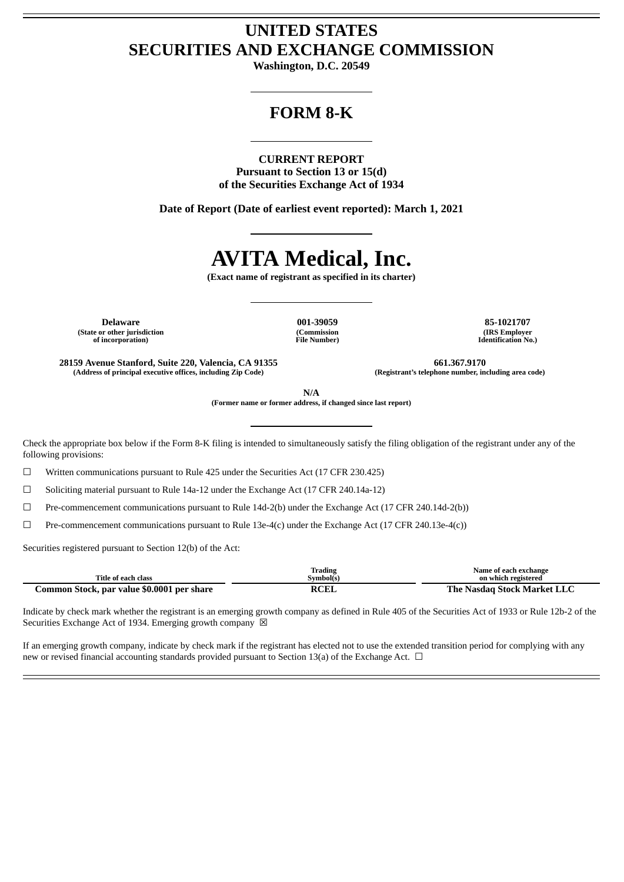# **UNITED STATES SECURITIES AND EXCHANGE COMMISSION**

**Washington, D.C. 20549**

# **FORM 8-K**

# **CURRENT REPORT**

**Pursuant to Section 13 or 15(d) of the Securities Exchange Act of 1934**

**Date of Report (Date of earliest event reported): March 1, 2021**

# **AVITA Medical, Inc.**

**(Exact name of registrant as specified in its charter)**

**Delaware 001-39059 85-1021707 (State or other jurisdiction of incorporation)**

**(Commission File Number)**

**(IRS Employer Identification No.)**

**28159 Avenue Stanford, Suite 220, Valencia, CA 91355 661.367.9170 (Address of principal executive offices, including Zip Code) (Registrant's telephone number, including area code)**

**N/A**

**(Former name or former address, if changed since last report)**

Check the appropriate box below if the Form 8-K filing is intended to simultaneously satisfy the filing obligation of the registrant under any of the following provisions:

 $\Box$  Written communications pursuant to Rule 425 under the Securities Act (17 CFR 230.425)

☐ Soliciting material pursuant to Rule 14a-12 under the Exchange Act (17 CFR 240.14a-12)

 $\Box$  Pre-commencement communications pursuant to Rule 14d-2(b) under the Exchange Act (17 CFR 240.14d-2(b))

 $\Box$  Pre-commencement communications pursuant to Rule 13e-4(c) under the Exchange Act (17 CFR 240.13e-4(c))

Securities registered pursuant to Section 12(b) of the Act:

| Title of each class                        | <b>Trading</b><br>Svmbol(s) | Name of each exchange<br>on which registered |
|--------------------------------------------|-----------------------------|----------------------------------------------|
| Common Stock, par value \$0.0001 per share | <b>RCEL</b>                 | The Nasdag Stock Market LLC                  |

Indicate by check mark whether the registrant is an emerging growth company as defined in Rule 405 of the Securities Act of 1933 or Rule 12b-2 of the Securities Exchange Act of 1934. Emerging growth company  $\boxtimes$ 

If an emerging growth company, indicate by check mark if the registrant has elected not to use the extended transition period for complying with any new or revised financial accounting standards provided pursuant to Section 13(a) of the Exchange Act.  $\Box$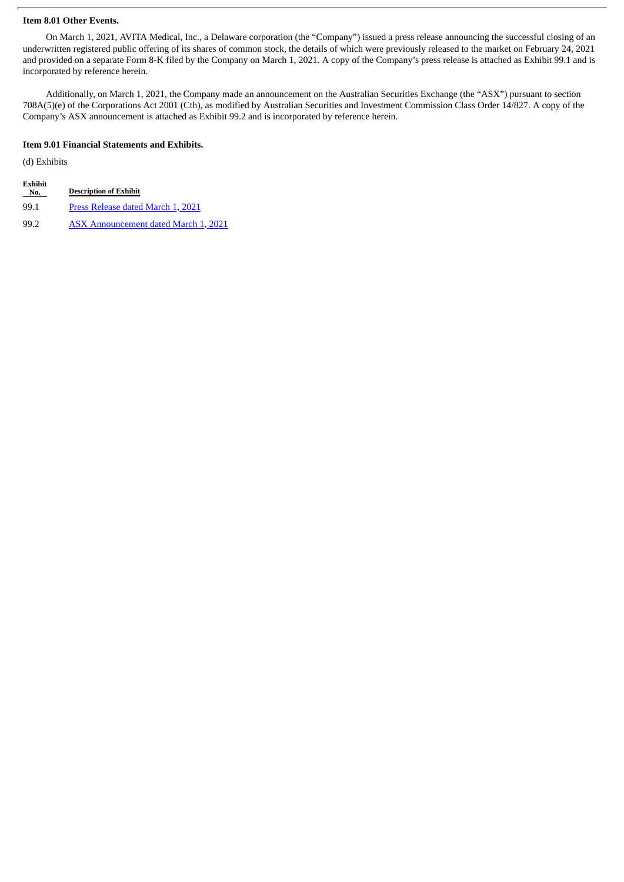#### **Item 8.01 Other Events.**

On March 1, 2021, AVITA Medical, Inc., a Delaware corporation (the "Company") issued a press release announcing the successful closing of an underwritten registered public offering of its shares of common stock, the details of which were previously released to the market on February 24, 2021 and provided on a separate Form 8-K filed by the Company on March 1, 2021. A copy of the Company's press release is attached as Exhibit 99.1 and is incorporated by reference herein.

Additionally, on March 1, 2021, the Company made an announcement on the Australian Securities Exchange (the "ASX") pursuant to section 708A(5)(e) of the Corporations Act 2001 (Cth), as modified by Australian Securities and Investment Commission Class Order 14/827. A copy of the Company's ASX announcement is attached as Exhibit 99.2 and is incorporated by reference herein.

# **Item 9.01 Financial Statements and Exhibits.**

(d) Exhibits

| Exhibit |                               |
|---------|-------------------------------|
| No.     | <b>Description of Exhibit</b> |

- 99.1 Press [Release](#page-3-0) dated March 1, 2021
- 99.2 ASX [Announcement](#page-6-0) dated March 1, 2021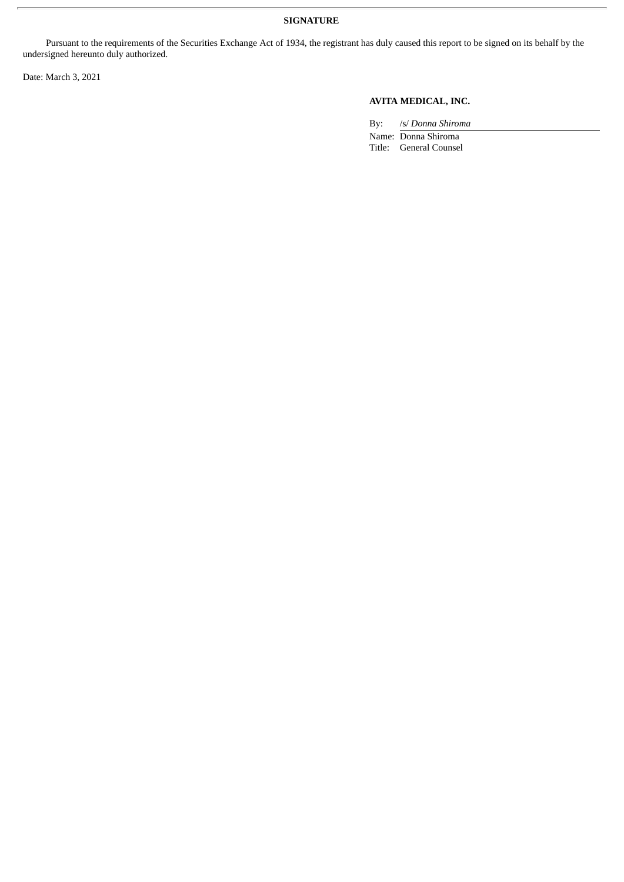## **SIGNATURE**

Pursuant to the requirements of the Securities Exchange Act of 1934, the registrant has duly caused this report to be signed on its behalf by the undersigned hereunto duly authorized.

Date: March 3, 2021

# **AVITA MEDICAL, INC.**

By: /s/ *Donna Shiroma*

Name: Donna Shiroma Title: General Counsel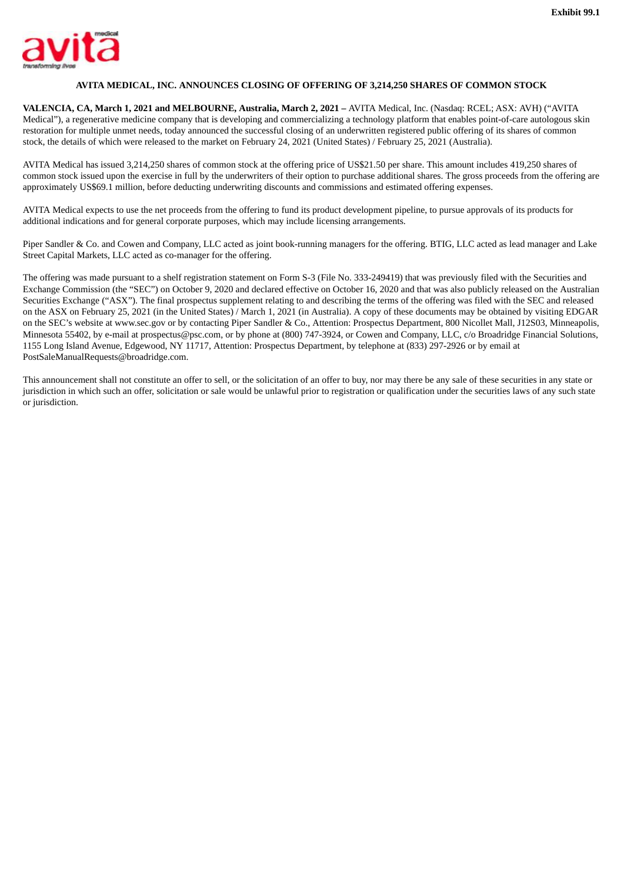<span id="page-3-0"></span>

### **AVITA MEDICAL, INC. ANNOUNCES CLOSING OF OFFERING OF 3,214,250 SHARES OF COMMON STOCK**

**VALENCIA, CA, March 1, 2021 and MELBOURNE, Australia, March 2, 2021 –** AVITA Medical, Inc. (Nasdaq: RCEL; ASX: AVH) ("AVITA Medical"), a regenerative medicine company that is developing and commercializing a technology platform that enables point-of-care autologous skin restoration for multiple unmet needs, today announced the successful closing of an underwritten registered public offering of its shares of common stock, the details of which were released to the market on February 24, 2021 (United States) / February 25, 2021 (Australia).

AVITA Medical has issued 3,214,250 shares of common stock at the offering price of US\$21.50 per share. This amount includes 419,250 shares of common stock issued upon the exercise in full by the underwriters of their option to purchase additional shares. The gross proceeds from the offering are approximately US\$69.1 million, before deducting underwriting discounts and commissions and estimated offering expenses.

AVITA Medical expects to use the net proceeds from the offering to fund its product development pipeline, to pursue approvals of its products for additional indications and for general corporate purposes, which may include licensing arrangements.

Piper Sandler & Co. and Cowen and Company, LLC acted as joint book-running managers for the offering. BTIG, LLC acted as lead manager and Lake Street Capital Markets, LLC acted as co-manager for the offering.

The offering was made pursuant to a shelf registration statement on Form S-3 (File No. 333-249419) that was previously filed with the Securities and Exchange Commission (the "SEC") on October 9, 2020 and declared effective on October 16, 2020 and that was also publicly released on the Australian Securities Exchange ("ASX"). The final prospectus supplement relating to and describing the terms of the offering was filed with the SEC and released on the ASX on February 25, 2021 (in the United States) / March 1, 2021 (in Australia). A copy of these documents may be obtained by visiting EDGAR on the SEC's website at www.sec.gov or by contacting Piper Sandler & Co., Attention: Prospectus Department, 800 Nicollet Mall, J12S03, Minneapolis, Minnesota 55402, by e-mail at prospectus@psc.com, or by phone at (800) 747-3924, or Cowen and Company, LLC, c/o Broadridge Financial Solutions, 1155 Long Island Avenue, Edgewood, NY 11717, Attention: Prospectus Department, by telephone at (833) 297-2926 or by email at PostSaleManualRequests@broadridge.com.

This announcement shall not constitute an offer to sell, or the solicitation of an offer to buy, nor may there be any sale of these securities in any state or jurisdiction in which such an offer, solicitation or sale would be unlawful prior to registration or qualification under the securities laws of any such state or jurisdiction.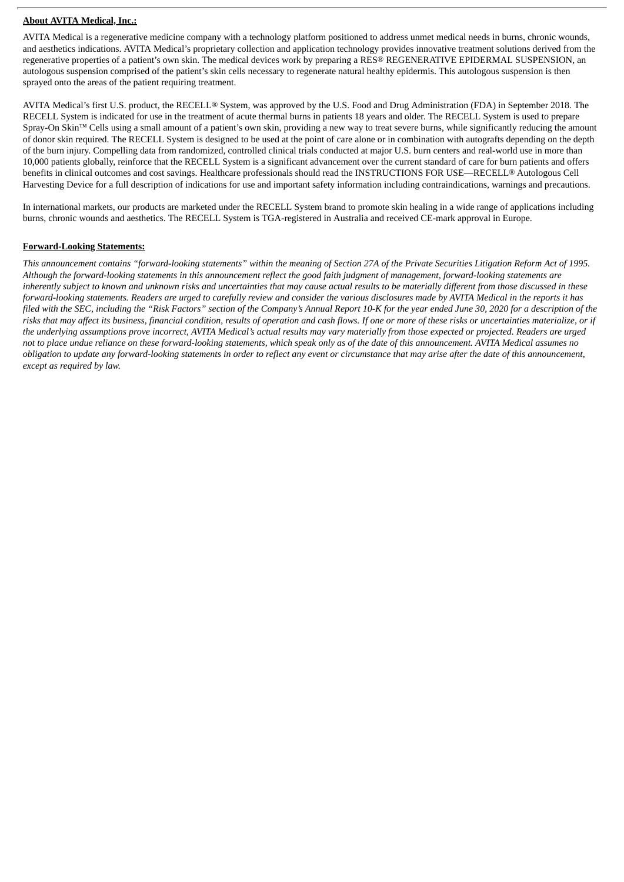#### **About AVITA Medical, Inc.:**

AVITA Medical is a regenerative medicine company with a technology platform positioned to address unmet medical needs in burns, chronic wounds, and aesthetics indications. AVITA Medical's proprietary collection and application technology provides innovative treatment solutions derived from the regenerative properties of a patient's own skin. The medical devices work by preparing a RES® REGENERATIVE EPIDERMAL SUSPENSION, an autologous suspension comprised of the patient's skin cells necessary to regenerate natural healthy epidermis. This autologous suspension is then sprayed onto the areas of the patient requiring treatment.

AVITA Medical's first U.S. product, the RECELL® System, was approved by the U.S. Food and Drug Administration (FDA) in September 2018. The RECELL System is indicated for use in the treatment of acute thermal burns in patients 18 years and older. The RECELL System is used to prepare Spray-On Skin™ Cells using a small amount of a patient's own skin, providing a new way to treat severe burns, while significantly reducing the amount of donor skin required. The RECELL System is designed to be used at the point of care alone or in combination with autografts depending on the depth of the burn injury. Compelling data from randomized, controlled clinical trials conducted at major U.S. burn centers and real-world use in more than 10,000 patients globally, reinforce that the RECELL System is a significant advancement over the current standard of care for burn patients and offers benefits in clinical outcomes and cost savings. Healthcare professionals should read the INSTRUCTIONS FOR USE—RECELL® Autologous Cell Harvesting Device for a full description of indications for use and important safety information including contraindications, warnings and precautions.

In international markets, our products are marketed under the RECELL System brand to promote skin healing in a wide range of applications including burns, chronic wounds and aesthetics. The RECELL System is TGA-registered in Australia and received CE-mark approval in Europe.

#### **Forward-Looking Statements:**

This announcement contains "forward-looking statements" within the meaning of Section 27A of the Private Securities Litigation Reform Act of 1995. Although the forward-looking statements in this announcement reflect the good faith judgment of management, forward-looking statements are inherently subject to known and unknown risks and uncertainties that may cause actual results to be materially different from those discussed in these forward-looking statements. Readers are urged to carefully review and consider the various disclosures made by AVITA Medical in the reports it has filed with the SEC, includina the "Risk Factors" section of the Company's Annual Report 10-K for the vear ended June 30, 2020 for a description of the risks that may affect its business, financial condition, results of operation and cash flows. If one or more of these risks or uncertainties materialize, or if the underlying assumptions prove incorrect, AVITA Medical's actual results may vary materially from those expected or projected. Readers are urged not to place undue reliance on these forward-looking statements, which speak only as of the date of this announcement. AVITA Medical assumes no obligation to update any forward-looking statements in order to reflect any event or circumstance that may arise after the date of this announcement, *except as required by law.*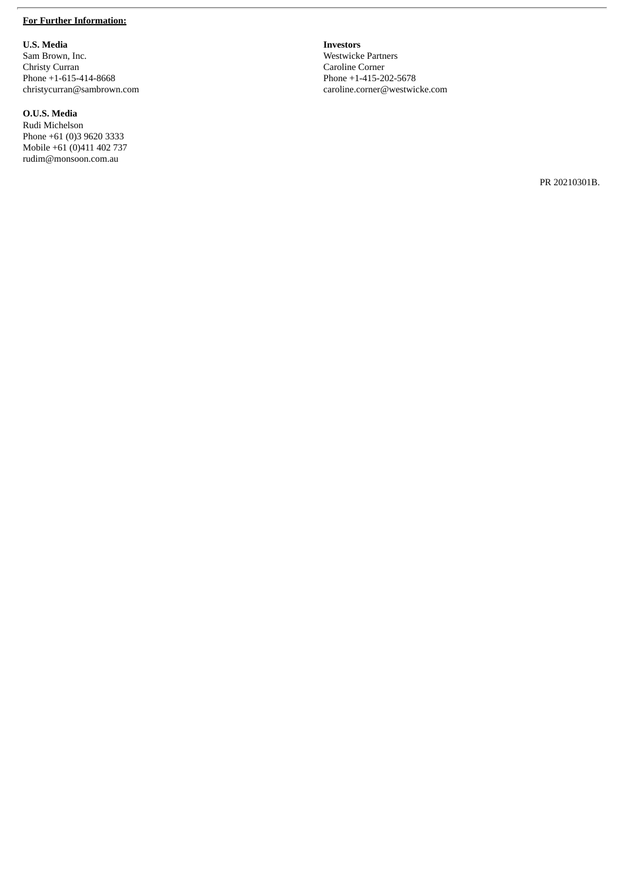#### **For Further Information:**

**U . S . M e d i a**

Sam Brown, Inc. Christy Curran Phone +1-615-414-8668 christycurran@sambrown.com

**O .U .S . M e d i a**

Rudi Michelson Phone +61 (0)3 9620 3333 Mobile +61 (0)411 402 737 rudim@monsoon.com.au

**I n v e s t o r s** Westwicke Partners Caroline Corner Phone +1-415-202-5678 caroline.corner@westwicke.com

PR 20210301B.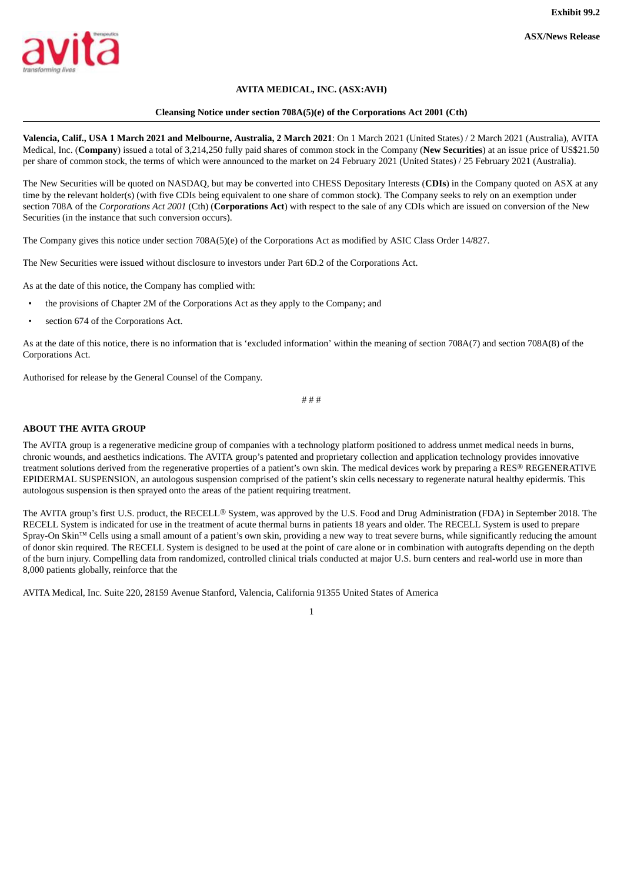<span id="page-6-0"></span>

# **AVITA MEDICAL, INC. (ASX:AVH)**

#### **Cleansing Notice under section 708A(5)(e) of the Corporations Act 2001 (Cth)**

**Valencia, Calif., USA 1 March 2021 and Melbourne, Australia, 2 March 2021**: On 1 March 2021 (United States) / 2 March 2021 (Australia), AVITA Medical, Inc. (**Company**) issued a total of 3,214,250 fully paid shares of common stock in the Company (**New Securities**) at an issue price of US\$21.50 per share of common stock, the terms of which were announced to the market on 24 February 2021 (United States) / 25 February 2021 (Australia).

The New Securities will be quoted on NASDAQ, but may be converted into CHESS Depositary Interests (**CDIs**) in the Company quoted on ASX at any time by the relevant holder(s) (with five CDIs being equivalent to one share of common stock). The Company seeks to rely on an exemption under section 708A of the *Corporations Act 2001* (Cth) (**Corporations Act**) with respect to the sale of any CDIs which are issued on conversion of the New Securities (in the instance that such conversion occurs).

The Company gives this notice under section 708A(5)(e) of the Corporations Act as modified by ASIC Class Order 14/827.

The New Securities were issued without disclosure to investors under Part 6D.2 of the Corporations Act.

As at the date of this notice, the Company has complied with:

- the provisions of Chapter 2M of the Corporations Act as they apply to the Company; and
- section 674 of the Corporations Act.

As at the date of this notice, there is no information that is 'excluded information' within the meaning of section 708A(7) and section 708A(8) of the Corporations Act.

Authorised for release by the General Counsel of the Company.

# # #

#### **ABOUT THE AVITA GROUP**

The AVITA group is a regenerative medicine group of companies with a technology platform positioned to address unmet medical needs in burns, chronic wounds, and aesthetics indications. The AVITA group's patented and proprietary collection and application technology provides innovative treatment solutions derived from the regenerative properties of a patient's own skin. The medical devices work by preparing a RES® REGENERATIVE EPIDERMAL SUSPENSION, an autologous suspension comprised of the patient's skin cells necessary to regenerate natural healthy epidermis. This autologous suspension is then sprayed onto the areas of the patient requiring treatment.

The AVITA group's first U.S. product, the RECELL® System, was approved by the U.S. Food and Drug Administration (FDA) in September 2018. The RECELL System is indicated for use in the treatment of acute thermal burns in patients 18 years and older. The RECELL System is used to prepare Spray-On Skin™ Cells using a small amount of a patient's own skin, providing a new way to treat severe burns, while significantly reducing the amount of donor skin required. The RECELL System is designed to be used at the point of care alone or in combination with autografts depending on the depth of the burn injury. Compelling data from randomized, controlled clinical trials conducted at major U.S. burn centers and real-world use in more than 8,000 patients globally, reinforce that the

AVITA Medical, Inc. Suite 220, 28159 Avenue Stanford, Valencia, California 91355 United States of America